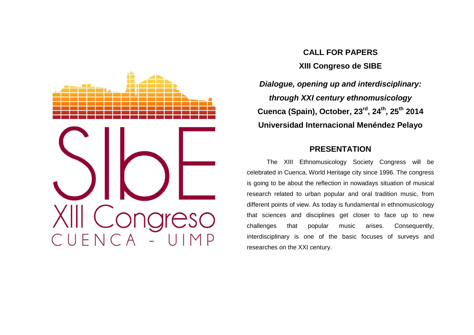

# **CALL FOR PAPERS XIII Congreso de SIBE**

**Dialogue, opening up and interdisciplinary: through XXI century ethnomusicology Cuenca (Spain), October, 23rd, 24th, 25th<sup>2014</sup>Universidad Internacional Menéndez Pelayo** 

## **PRESENTATION**

 The XIII Ethnomusicology Society Congress will be celebrated in Cuenca, World Heritage city since 1996. The congress is going to be about the reflection in nowadays situation of musical research related to urban popular and oral tradition music, from different points of view. As today is fundamental in ethnomusicology that sciences and disciplines get closer to face up to new challenges that popular music arises. Consequently,interdisciplinary is one of the basic focuses of surveys and researches on the XXI century.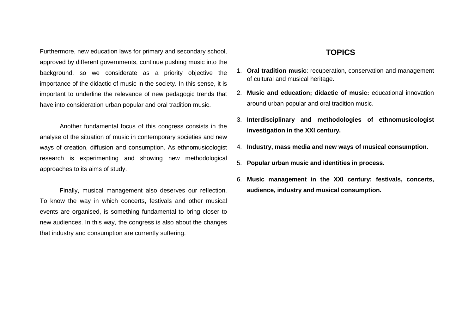Furthermore, new education laws for primary and secondary school, approved by different governments, continue pushing music into the background, so we considerate as a priority objective the importance of the didactic of music in the society. In this sense, it is important to underline the relevance of new pedagogic trends that have into consideration urban popular and oral tradition music.

 Another fundamental focus of this congress consists in the analyse of the situation of music in contemporary societies and new ways of creation, diffusion and consumption. As ethnomusicologist research is experimenting and showing new methodological approaches to its aims of study.

 Finally, musical management also deserves our reflection. To know the way in which concerts, festivals and other musical events are organised, is something fundamental to bring closer to new audiences. In this way, the congress is also about the changes that industry and consumption are currently suffering.

### **TOPICS**

- 1. **Oral tradition music**: recuperation, conservation and management of cultural and musical heritage.
- 2. **Music and education; didactic of music:** educational innovation around urban popular and oral tradition music.
- 3. **Interdisciplinary and methodologies of ethnomusicologist investigation in the XXI century.**
- 4. **Industry, mass media and new ways of musical consumption.**
- 5. **Popular urban music and identities in process.**
- 6. **Music management in the XXI century: festivals, concerts, audience, industry and musical consumption.**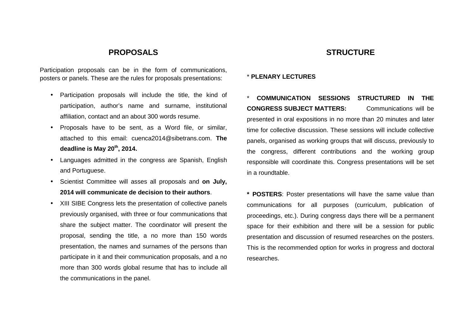#### **PROPOSALS**

Participation proposals can be in the form of communications, posters or panels. These are the rules for proposals presentations:

- Participation proposals will include the title, the kind of participation, author's name and surname, institutional affiliation, contact and an about 300 words resume.
- Proposals have to be sent, as a Word file, or similar, attached to this email: cuenca2014@sibetrans.com. **The deadline is May 20th, 2014.**
- Languages admitted in the congress are Spanish, English and Portuguese.
- Scientist Committee will asses all proposals and **on July, 2014 will communicate de decision to their authors**.
- XIII SIBE Congress lets the presentation of collective panels previously organised, with three or four communications that share the subject matter. The coordinator will present the proposal, sending the title, a no more than 150 words presentation, the names and surnames of the persons than participate in it and their communication proposals, and a no more than 300 words global resume that has to include all the communications in the panel.

#### **STRUCTURE**

#### \* **PLENARY LECTURES**

\* **COMMUNICATION SESSIONS STRUCTURED IN THE CONGRESS SUBJECT MATTERS:** Communications will be presented in oral expositions in no more than 20 minutes and later time for collective discussion. These sessions will include collective panels, organised as working groups that will discuss, previously to the congress, different contributions and the working group responsible will coordinate this. Congress presentations will be set in a roundtable.

**\* POSTERS**: Poster presentations will have the same value than communications for all purposes (curriculum, publication of proceedings, etc.). During congress days there will be a permanent space for their exhibition and there will be a session for public presentation and discussion of resumed researches on the posters. This is the recommended option for works in progress and doctoral researches.